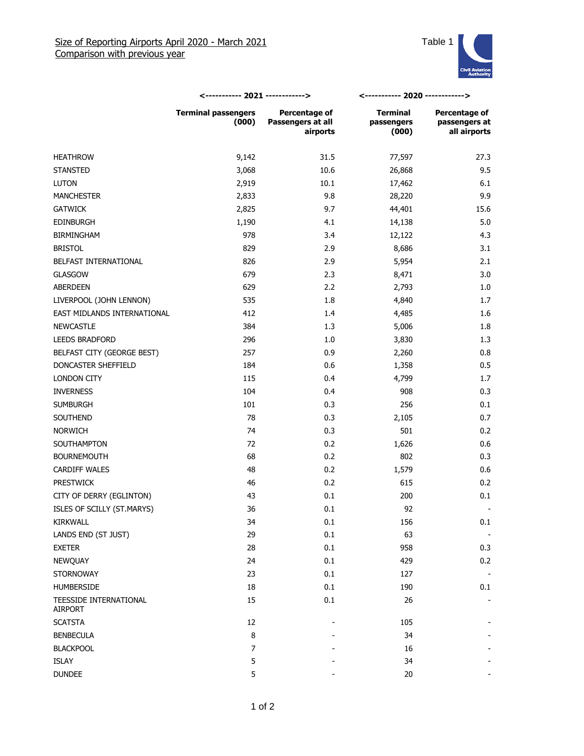

|                                   | <----------- 2021 ------------>     |                                                | <----------- 2020 ------------>        |                                                |
|-----------------------------------|-------------------------------------|------------------------------------------------|----------------------------------------|------------------------------------------------|
|                                   | <b>Terminal passengers</b><br>(000) | Percentage of<br>Passengers at all<br>airports | <b>Terminal</b><br>passengers<br>(000) | Percentage of<br>passengers at<br>all airports |
| <b>HEATHROW</b>                   | 9,142                               | 31.5                                           | 77,597                                 | 27.3                                           |
| <b>STANSTED</b>                   | 3,068                               | 10.6                                           | 26,868                                 | 9.5                                            |
| <b>LUTON</b>                      | 2,919                               | 10.1                                           | 17,462                                 | 6.1                                            |
| <b>MANCHESTER</b>                 | 2,833                               | 9.8                                            | 28,220                                 | 9.9                                            |
| <b>GATWICK</b>                    | 2,825                               | 9.7                                            | 44,401                                 | 15.6                                           |
| <b>EDINBURGH</b>                  | 1,190                               | 4.1                                            | 14,138                                 | 5.0                                            |
| <b>BIRMINGHAM</b>                 | 978                                 | 3.4                                            | 12,122                                 | 4.3                                            |
| <b>BRISTOL</b>                    | 829                                 | 2.9                                            | 8,686                                  | 3.1                                            |
| BELFAST INTERNATIONAL             | 826                                 | 2.9                                            | 5,954                                  | 2.1                                            |
| <b>GLASGOW</b>                    | 679                                 | 2.3                                            | 8,471                                  | 3.0                                            |
| <b>ABERDEEN</b>                   | 629                                 | 2.2                                            | 2,793                                  | 1.0                                            |
| LIVERPOOL (JOHN LENNON)           | 535                                 | 1.8                                            | 4,840                                  | 1.7                                            |
| EAST MIDLANDS INTERNATIONAL       | 412                                 | 1.4                                            | 4,485                                  | 1.6                                            |
| <b>NEWCASTLE</b>                  | 384                                 | 1.3                                            | 5,006                                  | 1.8                                            |
| LEEDS BRADFORD                    | 296                                 | 1.0                                            | 3,830                                  | 1.3                                            |
| BELFAST CITY (GEORGE BEST)        | 257                                 | 0.9                                            | 2,260                                  | 0.8                                            |
| DONCASTER SHEFFIELD               | 184                                 | 0.6                                            | 1,358                                  | 0.5                                            |
| LONDON CITY                       | 115                                 | 0.4                                            | 4,799                                  | 1.7                                            |
| <b>INVERNESS</b>                  | 104                                 | 0.4                                            | 908                                    | 0.3                                            |
| <b>SUMBURGH</b>                   | 101                                 | 0.3                                            | 256                                    | 0.1                                            |
| SOUTHEND                          | 78                                  | 0.3                                            | 2,105                                  | 0.7                                            |
| <b>NORWICH</b>                    | 74                                  | 0.3                                            | 501                                    | 0.2                                            |
| SOUTHAMPTON                       | 72                                  | 0.2                                            | 1,626                                  | 0.6                                            |
| <b>BOURNEMOUTH</b>                | 68                                  | 0.2                                            | 802                                    | 0.3                                            |
| <b>CARDIFF WALES</b>              | 48                                  | 0.2                                            | 1,579                                  | 0.6                                            |
| <b>PRESTWICK</b>                  | 46                                  | 0.2                                            | 615                                    | 0.2                                            |
| CITY OF DERRY (EGLINTON)          | 43                                  | 0.1                                            | 200                                    | 0.1                                            |
| ISLES OF SCILLY (ST.MARYS)        | 36                                  | 0.1                                            | 92                                     |                                                |
| KIRKWALL                          | 34                                  | $0.1\,$                                        | 156                                    | 0.1                                            |
| LANDS END (ST JUST)               | 29                                  | 0.1                                            | 63                                     |                                                |
| <b>EXETER</b>                     | 28                                  | 0.1                                            | 958                                    | 0.3                                            |
| NEWQUAY                           | 24                                  | $0.1\,$                                        | 429                                    | 0.2                                            |
| <b>STORNOWAY</b>                  | 23                                  | 0.1                                            | 127                                    |                                                |
| HUMBERSIDE                        | 18                                  | 0.1                                            | 190                                    | 0.1                                            |
| TEESSIDE INTERNATIONAL<br>AIRPORT | 15                                  | $0.1\,$                                        | 26                                     |                                                |
| <b>SCATSTA</b>                    | 12                                  |                                                | 105                                    |                                                |
| <b>BENBECULA</b>                  | 8                                   |                                                | 34                                     |                                                |
| <b>BLACKPOOL</b>                  | $\overline{7}$                      |                                                | 16                                     |                                                |
| ISLAY                             | 5                                   |                                                | 34                                     |                                                |
| <b>DUNDEE</b>                     | 5                                   |                                                | 20                                     |                                                |